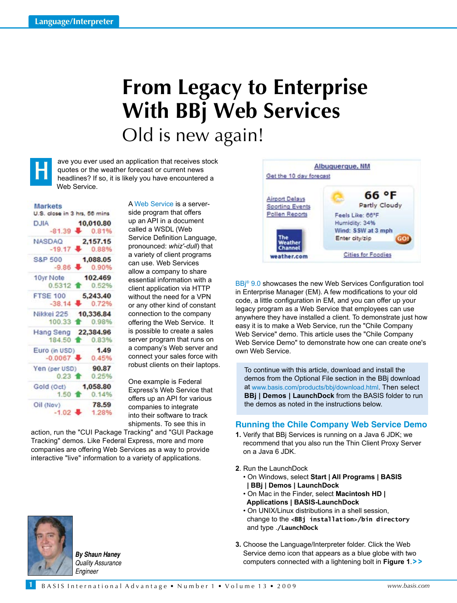# **From Legacy to Enterprise With BBj Web Services** Old is new again!



ave you ever used an application that receives stock quotes or the weather forecast or current news headlines? If so, it is likely you have encountered a Web Service.

### **Markets**

| U.S. close in 3 hrs, 56 mins |                             |
|------------------------------|-----------------------------|
| L.,<br><b>DJIA</b>           | 10,010.80                   |
|                              | $-81.39$ $0.81\%$           |
| <b>NASDAQ</b>                | 2,157.15                    |
|                              | $-19.17$ $0.88%$            |
| S&P 500                      | 1,088.05                    |
|                              | $-9.86$ $0.90\%$            |
| 10yr Note                    | 102.469                     |
|                              | 0.5312 音 0.52%              |
| FTSE 100 5,243.40            |                             |
|                              | $-38.14$ $+ 0.72%$          |
| Nikkei 225 10,336.84         |                             |
|                              | 100.33 會 0.98%              |
| Hang Seng 22,384.96          |                             |
|                              | 184.50 1 0.83%              |
| Euro (in USD) 1.49           |                             |
|                              | $-0.0067$ $\clubsuit$ 0.45% |
| Yen (per USD) 90.87          |                             |
|                              | $0.23$ 1 $0.25%$            |
| Gold (Oct) 1,058.80          |                             |
|                              | 1.50 1 0.14%                |
| Oil (Nov)                    | 78.59                       |
| $-1.02 +$                    | 1.28%                       |
|                              |                             |

A [Web Service](http://en.wikipedia.org/wiki/Web_service) is a serverside program that offers up an API in a document called a WSDL (Web Service Definition Language, pronounced: *whiz'-dull*) that a variety of client programs can use. Web Services allow a company to share essential information with a client application via HTTP without the need for a VPN or any other kind of constant connection to the company offering the Web Service. It is possible to create a sales server program that runs on a company's Web server and connect your sales force with robust clients on their laptops.

One example is Federal Express's Web Service that offers up an API for various companies to integrate into their software to track shipments. To see this in

action, run the "CUI Package Tracking" and "GUI Package Tracking" demos. Like Federal Express, more and more companies are offering Web Services as a way to provide interactive "live" information to a variety of applications.



BBj<sup>®</sup> 9.0 showcases the new Web Services Configuration tool in Enterprise Manager (EM). A few modifications to your old code, a little configuration in EM, and you can offer up your legacy program as a Web Service that employees can use anywhere they have installed a client. To demonstrate just how easy it is to make a Web Service, run the "Chile Company Web Service" demo. This article uses the "Chile Company Web Service Demo" to demonstrate how one can create one's own web service.

To continue with this article, download and install the demos from the Optional File section in the BBj download a[t www.basis.com/products/bbj/download.html.](https://www.basis.com/products/bbj/download.html) Then select **BBj | Demos | LaunchDock** from the BASIS folder to run the demos as noted in the instructions below.

## **Running the Chile Company Web Service Demo**

- **1.** Verify that BBj Services is running on a Java 6 JDK; we recommend that you also run the Thin Client Proxy Server on a Java 6 JDK.
- **2**. Run the LaunchDock
	- On Windows, select **Start | All Programs | BASIS | BBj | Demos | LaunchDock**
	- On Mac in the Finder, select **Macintosh HD | Applications | BASIS-LaunchDock**
	- On UNIX/Linux distributions in a shell session, change to the **<BBj installation>/bin directory** and type .**/LaunchDock**
- **3.** Choose the Language/Interpreter folder. Click the Web Service demo icon that appears as a blue globe with two computers connected with a lightening bolt in **Figure 1**. **> >**



**1**

*By Shaun Haney Quality Assurance Engineer*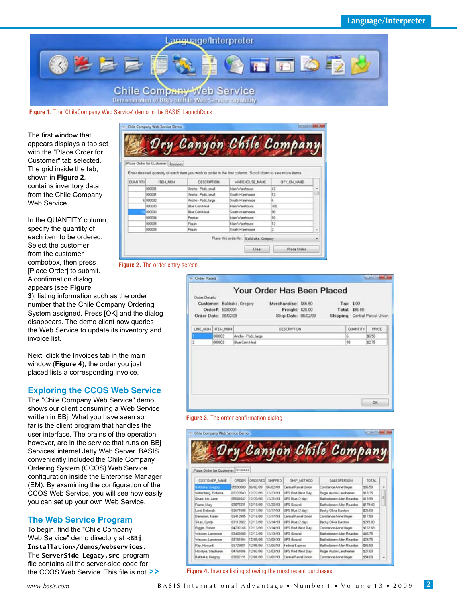

**Figure 1.** The "ChileCompany Web Service" demo in the BASIS LaunchDock

The first window that appears displays a tab set with the "Place Order for Customer" tab selected. The grid inside the tab, shown in **Figure 2**, contains inventory data from the Chile Company Web Service.

In the QUANTITY column, specify the quantity of each item to be ordered. Select the customer from the customer combobox, then press [Place Order] to submit. A confirmation dialog appears (see **Figure** 

**3**), listing information such as the order number that the Chile Company Ordering System assigned. Press [OK] and the dialog disappears. The demo client now queries the Web Service to update its inventory and invoice list.

Next, click the Invoices tab in the main window (**Figure 4**); the order you just placed lists a corresponding invoice.

# **Exploring the CCOS Web Service**

The "Chile Company Web Service" demo shows our client consuming a Web Service written in BBj. What you have seen so far is the client program that handles the user interface. The brains of the operation, however, are in the service that runs on BBj Services' internal Jetty Web Server. BASIS conveniently included the Chile Company Ordering System (CCOS) Web Service configuration inside the Enterprise Manager (EM). By examining the configuration of the CCOS Web Service, you will see how easily you can set up your own Web Service.

# **The Web Service Program**

To begin, find the "Chile Company Web Service" demo directory at **<BBj Installation>/demos/webservices.** The **ServerSide\_Legacy.src** program file contains all the server-side code for the CCOS Web Service. This file is not **> >**

| Dry Canyon Chile Company<br>Place Order for Customer Invoices<br>Enter desired quantity of each item you wish to order in the first column. Scroll down to see more items.<br>QUANTITY<br>ITEM_NUM<br>DESCRIPTION<br>WAREHOUSE NAME<br>OTY_ON_HAND |   |
|----------------------------------------------------------------------------------------------------------------------------------------------------------------------------------------------------------------------------------------------------|---|
|                                                                                                                                                                                                                                                    |   |
|                                                                                                                                                                                                                                                    |   |
|                                                                                                                                                                                                                                                    |   |
|                                                                                                                                                                                                                                                    |   |
|                                                                                                                                                                                                                                                    |   |
| 000001<br>Ancha - Pods, small<br>ist i<br><b>Idain Warehouse</b>                                                                                                                                                                                   | ٠ |
| 12<br>000001<br>Arche - Pods, small<br>South Washoute                                                                                                                                                                                              |   |
| E 000002<br>k<br>Ancho - Pods, large<br>South Warehouse                                                                                                                                                                                            |   |
| <b>Blue Com Meal</b><br>700<br>000003<br><b>Main Warehoune</b>                                                                                                                                                                                     |   |
| 000003<br>50<br><b>Blue Com I Jimai</b><br>South Warehouse                                                                                                                                                                                         |   |
| 000004<br>10<br>Main Warehouse<br>Pepkes                                                                                                                                                                                                           |   |
| 12<br>000005<br><b>Main Warehouse</b><br>Pesare                                                                                                                                                                                                    |   |
| 000005<br>ı<br>South Warehouse<br>Piquin                                                                                                                                                                                                           | ٠ |
| Place this order for: Baldrake, Gregory.                                                                                                                                                                                                           |   |
|                                                                                                                                                                                                                                                    |   |

#### **Figure 2.** The order entry screen

| Order Details |                                         |                       | Your Order Has Been Placed                                                                  |                                                                |        |
|---------------|-----------------------------------------|-----------------------|---------------------------------------------------------------------------------------------|----------------------------------------------------------------|--------|
|               | Order#: 5090001<br>Order Date: 06/02/09 |                       | Customer: Baldrake, Gregory Merchandise: \$66.50<br>Freight: \$20.00<br>Ship Date: 06/02/09 | Tax: \$.00<br>Total: \$86.50<br>Shipping: Central Parcel Union |        |
|               | LINE NUM   ITEM NUM                     |                       | DESCRIPTION                                                                                 | QUANTITY                                                       | PRICE  |
|               | 000002                                  | Ancho - Podt, large   |                                                                                             | g.                                                             | \$5.50 |
|               | 000003                                  | <b>Blue Coin Meal</b> |                                                                                             | 10                                                             | \$2.75 |
|               |                                         |                       |                                                                                             |                                                                |        |



| Chile Company Web Service Demo  |            |                       |          |                       |                            |          |   |
|---------------------------------|------------|-----------------------|----------|-----------------------|----------------------------|----------|---|
|                                 |            |                       |          |                       | Dry Canyon Chile Company   |          |   |
|                                 |            |                       |          |                       |                            |          |   |
|                                 |            |                       |          |                       |                            |          |   |
| <b>Flace Order for Customer</b> | Trivisions |                       |          |                       |                            |          |   |
| CUSTOMER NAME                   | ORDER      | <b><i>CROERED</i></b> | SHIPPED  | SHIP METHOD           | <b>SALESPERSON</b>         | TOTAL    |   |
| Balduke, Gregory                | 05090000   | 06/02/09              | 06/02/09 | Central Parcel Union  | Conclance Anne Unger       | \$96.50  |   |
| Wittenberg, Roberta             | 03120543   | 12/22/93              | 12/23/93 | UPS Red Neit Davi     | Roger Austin Landheimm     | \$18.75  |   |
| Ghatt, Mr. Jane                 | 05001642   | 12/20/53              | 12/21/93 | UPS Blue (2 day)      | Bathologen Allen Reardon   | \$19.59  | × |
| Frank, Mary                     | 03875231   | 12/19/93              | 12/20/93 | <b>UPS Ground</b>     | Bartholomew Allen Reardors | \$179.40 |   |
| Lord Debouth                    | 03671508   | 12/17/93              | 12/17/93 | UPS Blue (2 day)      | Becky Ofivia Barzton       | \$25.00  |   |
| Dennison, Karen                 | 03412905   | 12/16/93              | 12/17/93 | Central Plained Union | Corclance Anne Unger       | \$17.50  |   |
| Sikes, Cyndy                    | 03112002   | 12/13/93              | 12/14/93 | UPS Blue (2 day)      | Becky Olivia Bartom        | \$215.00 |   |
| <b>Figgle</b> , Robert          | 04730168   | 12/13/93              | 12/14/93 | UPS Red Next Davi     | Constance Anne Unger       | \$162.69 |   |
| Wesson, Lawrence                | 0001034    | 12/12/93              | 12/13/93 | <b>UPS Ground</b>     | Batholomew Allen Raadon    | \$46.75  |   |
| Weston, Lamerice                | 03161504   | 12/09/93              | 12/05/93 | <b>UPS Ground</b>     | Badfreismere Allen Reardon | \$24.75  |   |
| Ray, Howard                     | 03729001   | 12/05/93              | 12/06/93 | Federal Express       | Bartholomew Allen Reardon  | \$45.50  |   |
| McIntyre, Stephanie             | 04761086   | 12/03/53              | 12/03/93 | UPS Red Neit Davi     | Roger Austin Landheinier   | \$27.00  |   |
| Baldrake, Gregory               | 03082191   | 12/01/53              | 12/01/93 | Central Parcel Union  | Constance Anne Unger       | \$54.00  | ٠ |

#### **Figure 4.** Invoice listing showing the most recent purchases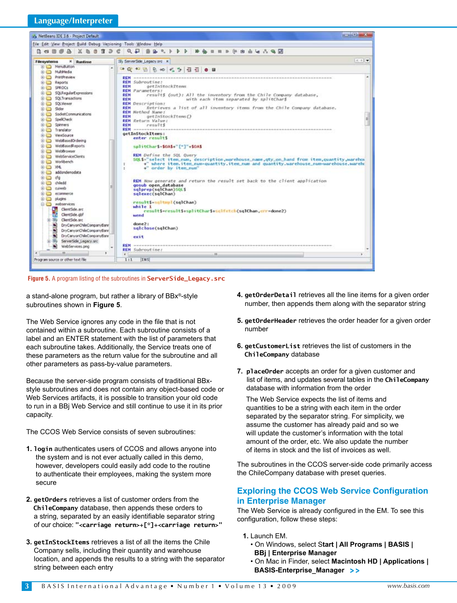

**Figure 5.** A program listing of the subroutines in **ServerSide\_Legacy.src**

a stand-alone program, but rather a library of BBx®-style subroutines shown in **Figure 5**.

The Web Service ignores any code in the file that is not contained within a subroutine. Each subroutine consists of a label and an ENTER statement with the list of parameters that each subroutine takes. Additionally, the Service treats one of these parameters as the return value for the subroutine and all other parameters as pass-by-value parameters.

Because the server-side program consists of traditional BBxstyle subroutines and does not contain any object-based code or Web Services artifacts, it is possible to transition your old code to run in a BBj Web Service and still continue to use it in its prior capacity.

The CCOS Web Service consists of seven subroutines:

- **1. login** authenticates users of CCOS and allows anyone into the system and is not ever actually called in this demo, however, developers could easily add code to the routine to authenticate their employees, making the system more secure
- **2. getOrders** retrieves a list of customer orders from the  **ChileCompany** database, then appends these orders to a string, separated by an easily identifiable separator string of our choice: **"<carriage return>+[\*]+<carriage return>"**
- **3. getInStockItems** retrieves a list of all the items the Chile Company sells, including their quantity and warehouse location, and appends the results to a string with the separator string between each entry
- **4. getOrderDetail** retrieves all the line items for a given order number, then appends them along with the separator string
- **5. getOrderHeader** retrieves the order header for a given order number
- **6. getCustomerList** retrieves the list of customers in the **ChileCompany** database
- **7. placeOrder** accepts an order for a given customer and list of items, and updates several tables in the **ChileCompany** database with information from the order

The Web Service expects the list of items and quantities to be a string with each item in the order separated by the separator string. For simplicity, we assume the customer has already paid and so we will update the customer's information with the total amount of the order, etc. We also update the number of items in stock and the list of invoices as well.

The subroutines in the CCOS server-side code primarily access the ChileCompany database with preset queries.

# **Exploring the CCOS Web Service Configuration in Enterprise Manager**

The Web Service is already configured in the EM. To see this configuration, follow these steps:

- **1.** Launch EM.
	- On Windows, select S**tart | All Programs | BASIS | BBj | Enterprise Manager**
- On Mac in Finder, select **Macintosh HD | Applications | BASIS-Enterprise\_Manager > >**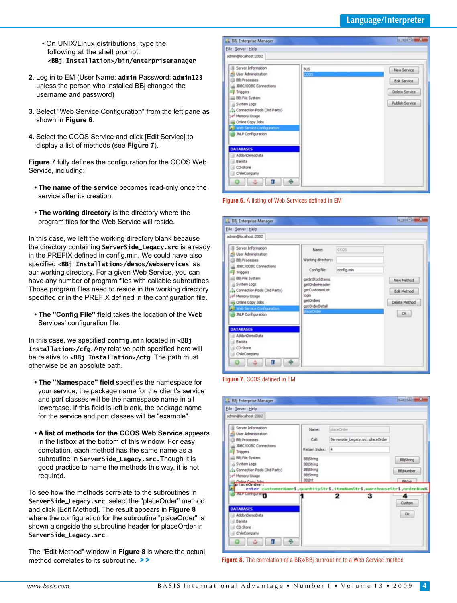- On UNIX/Linux distributions, type the following at the shell prompt:  **<BBj Installation>/bin/enterprisemanager**
- **2**. Log in to EM (User Name: **admin** Password: **admin123** unless the person who installed BBj changed the username and password)
- **3.** Select "Web Service Configuration" from the left pane as shown in **Figure 6**.
- **4.** Select the CCOS Service and click [Edit Service] to display a list of methods (see **Figure 7**).

**Figure 7** fully defines the configuration for the CCOS Web Service, including:

- **The name of the service** becomes read-only once the service after its creation.
- **The working directory** is the directory where the program files for the Web Service will reside.

In this case, we left the working directory blank because the directory containing **ServerSide\_Legacy.src** is already in the PREFIX defined in config.min. We could have also specified **<BBj Installation>/demos/webservices** as our working directory. For a given Web Service, you can have any number of program files with callable subroutines. Those program files need to reside in the working directory specified or in the PREFIX defined in the configuration file.

 **• The "Config File" field** takes the location of the Web Services' configuration file.

In this case, we specified **config.min** located in **<BBj Installation>/cfg**. Any relative path specified here will be relative to **<BBj Installation>/cfg**. The path must otherwise be an absolute path.

- **The "Namespace" field** specifies the namespace for your service; the package name for the client's service and port classes will be the namespace name in all lowercase. If this field is left blank, the package name for the service and port classes will be "example".
- **A list of methods for the CCOS Web Service** appears in the listbox at the bottom of this window. For easy correlation, each method has the same name as a subroutine in **ServerSide\_Legacy.src.**Though it is good practice to name the methods this way, it is not required.

To see how the methods correlate to the subroutines in **ServerSide\_Legacy.src**, select the "placeOrder" method and click [Edit Method]. The result appears in **Figure 8** where the configuration for the subroutine "placeOrder" is shown alongside the subroutine header for placeOrder in **ServerSide\_Legacy.src**.

The "Edit Method" window in **Figure 8** is where the actual method correlates to its subroutine. **> >**



#### **Figure 6.** A listing of Web Services defined in EM

| File Server Help                                                                                                                                                                                                                                                                                                                                             |                                                                                                                                                           |                    |                                                   |
|--------------------------------------------------------------------------------------------------------------------------------------------------------------------------------------------------------------------------------------------------------------------------------------------------------------------------------------------------------------|-----------------------------------------------------------------------------------------------------------------------------------------------------------|--------------------|---------------------------------------------------|
| admin@localhost:2002                                                                                                                                                                                                                                                                                                                                         |                                                                                                                                                           |                    |                                                   |
| Server Information<br><b>Cili</b> User Administration<br><b>ED</b> 88) Processes<br>JDBC/ODBC Connections<br>Triggers<br>BBI File System<br>System Logs<br>Connection Pools (3rd Party)<br>- Hemory Usage<br>Online Copy Jobs<br>Web Service Configuration<br>JNLP Configuration<br><b>DATABASES</b><br>AddonDemoData<br>Barista<br>CD-Store<br>ChileCompany | Name:<br>Working directory:<br>Config file:<br>getInStockItems<br>getOrderHeader<br>getCustomerList<br>login<br>getOrders<br>getOrderDetail<br>placeOrder | ccos<br>config.min | New Method<br>Edit Method<br>Delete Method<br>Ok. |

**Figure 7.** CCOS defined in EM

| File Server Help                                                                                                                                                                                                           |                                                                                                                                  |                                                                                              |                                                         |
|----------------------------------------------------------------------------------------------------------------------------------------------------------------------------------------------------------------------------|----------------------------------------------------------------------------------------------------------------------------------|----------------------------------------------------------------------------------------------|---------------------------------------------------------|
| admin@localhost:2002                                                                                                                                                                                                       |                                                                                                                                  |                                                                                              |                                                         |
| Server Information<br>User Administration<br><b>ED 881 Processes</b><br>JDBC/ODBC Connections<br>Triggers<br>EB) File System<br>System Logs<br>Connection Pools (3rd Party)<br>-4 <sup>-</sup> Memory Usage<br>placeOrder: | Name:<br>Call:<br>Return Index: 4<br><b>BB</b> IString<br>BBjString<br><b>BB</b> jString<br><b>BB</b> :String<br><b>BB</b> ilrit | placeOrder<br>Serverside Legacy.src::placeOrder<br>the control of the control of the control | <b>BB</b> iString<br><b>BB Number</b><br><b>RRifini</b> |
| <b>AP Company</b><br><b>DATABASES</b><br>AddonDemoData<br>Barista<br>CD-Store<br>ChileCompany<br>ø,<br>Ħ.                                                                                                                  |                                                                                                                                  | enter customerName\$ quantityStr\$ itemNumStr\$ warehouseStr\$ orderNum%<br>з<br>2           | 4<br>Custom<br>Ok:                                      |

 **Figure 8.** The correlation of a BBx/BBj subroutine to a Web Service method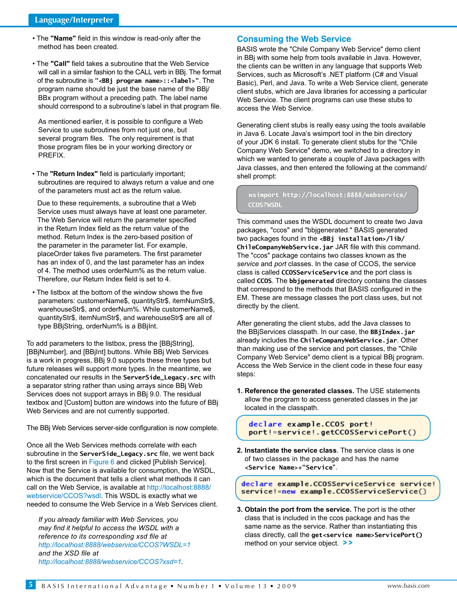- The **"Name"** field in this window is read-only after the method has been created.
- The **"Call"** field takes a subroutine that the Web Service will call in a similar fashion to the CALL verb in BBj. The format of the subroutine is **"<BBj program name>::<label>"**. The program name should be just the base name of the BBj/ BBx program without a preceding path. The label name should correspond to a subroutine's label in that program file.

As mentioned earlier, it is possible to configure a Web Service to use subroutines from not just one, but several program files. The only requirement is that those program files be in your working directory or PREFIX.

 • The **"Return Index"** field is particularly important; subroutines are required to always return a value and one of the parameters must act as the return value.

Due to these requirements, a subroutine that a Web Service uses must always have at least one parameter. The Web Service will return the parameter specified in the Return Index field as the return value of the method. Return Index is the zero-based position of the parameter in the parameter list. For example, placeOrder takes five parameters. The first parameter has an index of 0, and the last parameter has an index of 4. The method uses orderNum% as the return value. Therefore, our Return Index field is set to 4.

 • The listbox at the bottom of the window shows the five parameters: customerName\$, quantityStr\$, itemNumStr\$, warehouseStr\$, and orderNum%. While customerName\$, quantityStr\$, itemNumStr\$, and warehouseStr\$ are all of type BBjString, orderNum% is a BBjInt.

To add parameters to the listbox, press the [BBjString], [BBjNumber], and [BBjInt] buttons. While BBj Web Services is a work in progress, BBj 9.0 supports these three types but future releases will support more types. In the meantime, we concatenated our results in the **ServerSide\_Legacy.src** with a separator string rather than using arrays since BBj Web Services does not support arrays in BBj 9.0. The residual textbox and [Custom] button are windows into the future of BBj Web Services and are not currently supported.

The BBj Web Services server-side configuration is now complete.

Once all the Web Services methods correlate with each subroutine in the **ServerSide\_Legacy.src** file, we went back to the first screen in Figure 6 and clicked [Publish Service]. Now that the Service is available for consumption, the WSDL, which is the document that tells a client what methods it can call on the Web Service, is available [at http://localhost:8888/](http://localhost:8888/webservice/CCOS?wsdl) [webservice/CCOS?wsdl. T](http://localhost:8888/webservice/CCOS?wsdl)his WSDL is exactly what we needed to consume the Web Service in a Web Services client.

*If you already familiar with Web Services, you may find it helpful to access the WSDL with a reference to its corresponding xsd file at <http://localhost:8888/webservice/CCOS?WSDL=1> and the XSD file at <http://localhost:8888/webservice/CCOS?xsd=1>.* 

# **Consuming the Web Service**

BASIS wrote the "Chile Company Web Service" demo client in BBj with some help from tools available in Java. However, the clients can be written in any language that supports Web Services, such as Microsoft's .NET platform (C# and Visual Basic), Perl, and Java. To write a Web Service client, generate client stubs, which are Java libraries for accessing a particular Web Service. The client programs can use these stubs to access the Web Service.

Generating client stubs is really easy using the tools available in Java 6. Locate Java's wsimport tool in the bin directory of your JDK 6 install. To generate client stubs for the "Chile Company Web Service" demo, we switched to a directory in which we wanted to generate a couple of Java packages with Java classes, and then entered the following at the command/ shell prompt:

 **wsimport http://localhost:8888/webservice/ CCOS?WSDL** 

This command uses the WSDL document to create two Java packages, "ccos" and "bbjgenerated." BASIS generated two packages found in the **<BBj installation>/lib/ ChileCompanyWebService.jar** JAR file with this command. The "ccos" package contains two classes known as the *service* and *port* classes. In the case of CCOS, the service class is called **CCOSServiceService** and the port class is called **CCOS**. The **bbjgenerated** directory contains the classes that correspond to the methods that BASIS configured in the EM. These are message classes the port class uses, but not directly by the client.

After generating the client stubs, add the Java classes to the BBjServices classpath. In our case, the **BBjIndex.jar** already includes the **ChileCompanyWebService.jar**. Other than making use of the service and port classes, the "Chile Company Web Service" demo client is a typical BBj program. Access the Web Service in the client code in these four easy steps:

**1. Reference the generated classes.** The USE statements allow the program to access generated classes in the jar located in the classpath.

declare example.CCOS port! port!=service!.getCCOSServicePort()

**2. Instantiate the service class**. The service class is one of two classes in the package and has the name  **<Service Name>+"Service**".

declare example.CCOSServiceService service! service!=new example.CCOSServiceService()

**3. Obtain the port from the service.** The port is the other class that is included in the ccos package and has the same name as the service. Rather than instantiating this class directly, call the **get<service name>ServicePort()** method on your service object. **> >**